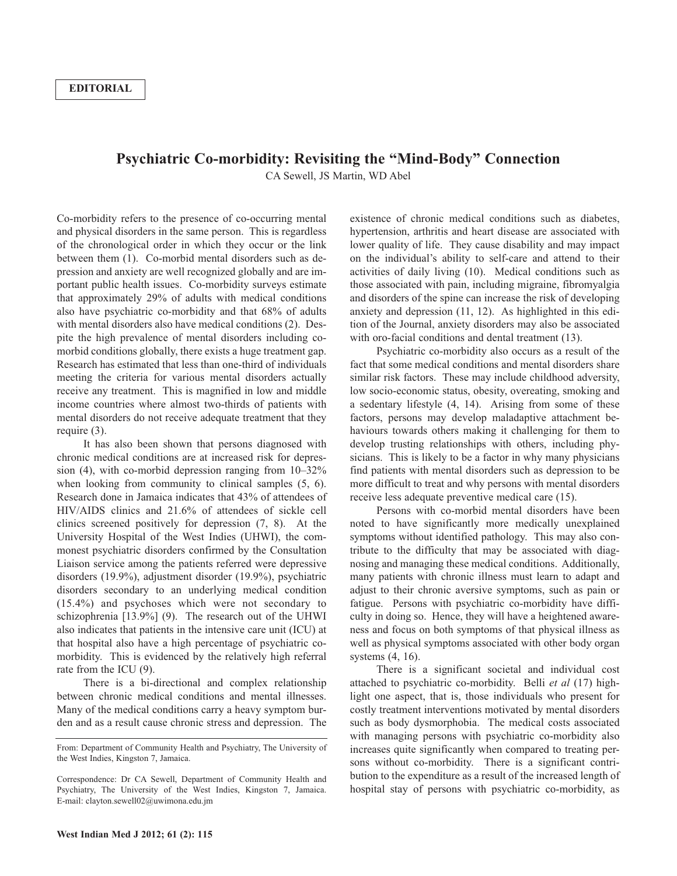## **Psychiatric Co-morbidity: Revisiting the "Mind-Body" Connection**

CA Sewell, JS Martin, WD Abel

Co-morbidity refers to the presence of co-occurring mental and physical disorders in the same person. This is regardless of the chronological order in which they occur or the link between them (1). Co-morbid mental disorders such as depression and anxiety are well recognized globally and are important public health issues. Co-morbidity surveys estimate that approximately 29% of adults with medical conditions also have psychiatric co-morbidity and that 68% of adults with mental disorders also have medical conditions (2). Despite the high prevalence of mental disorders including comorbid conditions globally, there exists a huge treatment gap. Research has estimated that less than one-third of individuals meeting the criteria for various mental disorders actually receive any treatment. This is magnified in low and middle income countries where almost two-thirds of patients with mental disorders do not receive adequate treatment that they require (3).

It has also been shown that persons diagnosed with chronic medical conditions are at increased risk for depression (4), with co-morbid depression ranging from 10–32% when looking from community to clinical samples  $(5, 6)$ . Research done in Jamaica indicates that 43% of attendees of HIV/AIDS clinics and 21.6% of attendees of sickle cell clinics screened positively for depression (7, 8). At the University Hospital of the West Indies (UHWI), the commonest psychiatric disorders confirmed by the Consultation Liaison service among the patients referred were depressive disorders (19.9%), adjustment disorder (19.9%), psychiatric disorders secondary to an underlying medical condition (15.4%) and psychoses which were not secondary to schizophrenia [13.9%] (9). The research out of the UHWI also indicates that patients in the intensive care unit (ICU) at that hospital also have a high percentage of psychiatric comorbidity. This is evidenced by the relatively high referral rate from the ICU (9).

There is a bi-directional and complex relationship between chronic medical conditions and mental illnesses. Many of the medical conditions carry a heavy symptom burden and as a result cause chronic stress and depression. The existence of chronic medical conditions such as diabetes, hypertension, arthritis and heart disease are associated with lower quality of life. They cause disability and may impact on the individual's ability to self-care and attend to their activities of daily living (10). Medical conditions such as those associated with pain, including migraine, fibromyalgia and disorders of the spine can increase the risk of developing anxiety and depression (11, 12). As highlighted in this edition of the Journal, anxiety disorders may also be associated with oro-facial conditions and dental treatment  $(13)$ .

Psychiatric co-morbidity also occurs as a result of the fact that some medical conditions and mental disorders share similar risk factors. These may include childhood adversity, low socio-economic status, obesity, overeating, smoking and a sedentary lifestyle (4, 14). Arising from some of these factors, persons may develop maladaptive attachment behaviours towards others making it challenging for them to develop trusting relationships with others, including physicians. This is likely to be a factor in why many physicians find patients with mental disorders such as depression to be more difficult to treat and why persons with mental disorders receive less adequate preventive medical care (15).

Persons with co-morbid mental disorders have been noted to have significantly more medically unexplained symptoms without identified pathology. This may also contribute to the difficulty that may be associated with diagnosing and managing these medical conditions. Additionally, many patients with chronic illness must learn to adapt and adjust to their chronic aversive symptoms, such as pain or fatigue. Persons with psychiatric co-morbidity have difficulty in doing so. Hence, they will have a heightened awareness and focus on both symptoms of that physical illness as well as physical symptoms associated with other body organ systems (4, 16).

There is a significant societal and individual cost attached to psychiatric co-morbidity. Belli *et al* (17) highlight one aspect, that is, those individuals who present for costly treatment interventions motivated by mental disorders such as body dysmorphobia. The medical costs associated with managing persons with psychiatric co-morbidity also increases quite significantly when compared to treating persons without co-morbidity. There is a significant contribution to the expenditure as a result of the increased length of hospital stay of persons with psychiatric co-morbidity, as

From: Department of Community Health and Psychiatry, The University of the West Indies, Kingston 7, Jamaica.

Correspondence: Dr CA Sewell, Department of Community Health and Psychiatry, The University of the West Indies, Kingston 7, Jamaica. E-mail: clayton.sewell02@uwimona.edu.jm